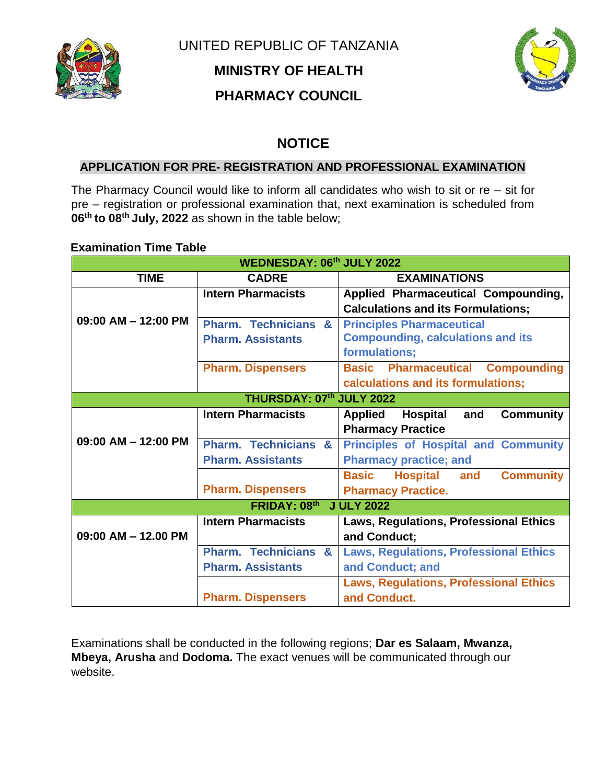

UNITED REPUBLIC OF TANZANIA **MINISTRY OF HEALTH PHARMACY COUNCIL** 



## **NOTICE**

## **APPLICATION FOR PRE- REGISTRATION AND PROFESSIONAL EXAMINATION**

The Pharmacy Council would like to inform all candidates who wish to sit or  $re - si$  for pre – registration or professional examination that, next examination is scheduled from **06th to 08th July, 2022** as shown in the table below;

## **Examination Time Table**

| <b>WEDNESDAY: 06th JULY 2022</b>         |                                           |                                                              |
|------------------------------------------|-------------------------------------------|--------------------------------------------------------------|
| <b>TIME</b>                              | <b>CADRE</b>                              | <b>EXAMINATIONS</b>                                          |
|                                          | <b>Intern Pharmacists</b>                 | Applied Pharmaceutical Compounding,                          |
|                                          |                                           | <b>Calculations and its Formulations;</b>                    |
| $09:00$ AM $-$ 12:00 PM                  | <b>Pharm. Technicians</b><br>$\mathbf{a}$ | <b>Principles Pharmaceutical</b>                             |
|                                          | <b>Pharm. Assistants</b>                  | <b>Compounding, calculations and its</b>                     |
|                                          |                                           | formulations;                                                |
|                                          | <b>Pharm. Dispensers</b>                  | <b>Compounding</b><br><b>Basic Pharmaceutical</b>            |
|                                          |                                           | calculations and its formulations;                           |
| THURSDAY: 07th JULY 2022                 |                                           |                                                              |
|                                          | <b>Intern Pharmacists</b>                 | <b>Applied</b><br><b>Hospital</b><br><b>Community</b><br>and |
|                                          |                                           | <b>Pharmacy Practice</b>                                     |
| $09:00$ AM $-$ 12:00 PM                  | <b>Pharm. Technicians</b><br>$\mathbf{a}$ | <b>Principles of Hospital and Community</b>                  |
|                                          | <b>Pharm. Assistants</b>                  | <b>Pharmacy practice; and</b>                                |
|                                          |                                           | <b>Basic</b><br><b>Hospital</b><br>and<br><b>Community</b>   |
|                                          | <b>Pharm. Dispensers</b>                  | <b>Pharmacy Practice.</b>                                    |
| <b>FRIDAY: 08th</b><br><b>J ULY 2022</b> |                                           |                                                              |
|                                          | <b>Intern Pharmacists</b>                 | Laws, Regulations, Professional Ethics                       |
| $09:00$ AM $-$ 12.00 PM                  |                                           | and Conduct;                                                 |
|                                          | <b>Pharm. Technicians</b><br>$\mathbf{g}$ | <b>Laws, Regulations, Professional Ethics</b>                |
|                                          | <b>Pharm. Assistants</b>                  | and Conduct; and                                             |
|                                          |                                           | <b>Laws, Regulations, Professional Ethics</b>                |
|                                          | <b>Pharm. Dispensers</b>                  | and Conduct.                                                 |

Examinations shall be conducted in the following regions; **Dar es Salaam, Mwanza, Mbeya, Arusha** and **Dodoma.** The exact venues will be communicated through our website.